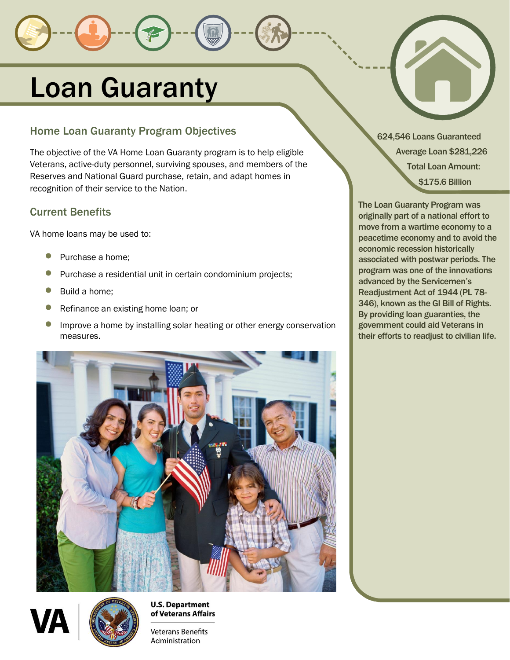# Loan Guaranty

# <span id="page-0-0"></span>Home Loan Guaranty Program Objectives

<span id="page-0-1"></span>The objective of the VA Home Loan Guaranty program is to help eligible Veterans, active-duty personnel, surviving spouses, and members of the Reserves and National Guard purchase, retain, and adapt homes in recognition of their service to the Nation.

### <span id="page-0-2"></span>Current Benefits

VA home loans may be used to:

- Purchase a home;
- Purchase a residential unit in certain condominium projects;
- Build a home;
- Refinance an existing home loan; or
- Improve a home by installing solar heating or other energy conservation measures.





**U.S. Department** of Veterans Affairs

**Veterans Benefits** Administration

624,546 Loans Guaranteed Average Loan \$281,226 Total Loan Amount: \$175.6 Billion

The Loan Guaranty Program was originally part of a national effort to move from a wartime economy to a peacetime economy and to avoid the economic recession historically associated with postwar periods. The program was one of the innovations advanced by the Servicemen's Readjustment Act of 1944 (PL 78- 346), known as the GI Bill of Rights. By providing loan guaranties, the government could aid Veterans in their efforts to readjust to civilian life.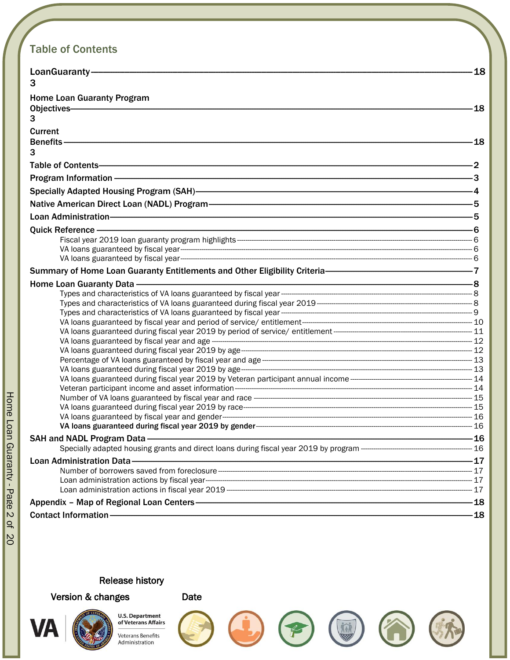# <span id="page-1-0"></span>**Table of Contents**

| LoanGuaranty-                                                                                                                                                                                                                  | -18              |
|--------------------------------------------------------------------------------------------------------------------------------------------------------------------------------------------------------------------------------|------------------|
| 3                                                                                                                                                                                                                              |                  |
| <b>Home Loan Guaranty Program</b>                                                                                                                                                                                              |                  |
|                                                                                                                                                                                                                                | -18              |
| 3                                                                                                                                                                                                                              |                  |
| Current                                                                                                                                                                                                                        |                  |
|                                                                                                                                                                                                                                | $\frac{1}{2}$ 18 |
| 3                                                                                                                                                                                                                              |                  |
|                                                                                                                                                                                                                                |                  |
|                                                                                                                                                                                                                                |                  |
|                                                                                                                                                                                                                                |                  |
| Native American Direct Loan (NADL) Program-<br>5                                                                                                                                                                               |                  |
|                                                                                                                                                                                                                                |                  |
| Quick Reference - Contact the Contract of Contact Contact Contact Contact Contact Contact Contact Contact Contact Contact Contact Contact Contact Contact Contact Contact Contact Contact Contact Contact Contact Contact Cont |                  |
|                                                                                                                                                                                                                                |                  |
|                                                                                                                                                                                                                                |                  |
|                                                                                                                                                                                                                                |                  |
|                                                                                                                                                                                                                                |                  |
|                                                                                                                                                                                                                                |                  |
|                                                                                                                                                                                                                                |                  |
|                                                                                                                                                                                                                                |                  |
|                                                                                                                                                                                                                                |                  |
|                                                                                                                                                                                                                                |                  |
|                                                                                                                                                                                                                                |                  |
|                                                                                                                                                                                                                                |                  |
|                                                                                                                                                                                                                                |                  |
|                                                                                                                                                                                                                                |                  |
|                                                                                                                                                                                                                                |                  |
|                                                                                                                                                                                                                                |                  |
|                                                                                                                                                                                                                                |                  |
|                                                                                                                                                                                                                                |                  |
|                                                                                                                                                                                                                                |                  |
|                                                                                                                                                                                                                                |                  |
|                                                                                                                                                                                                                                |                  |
|                                                                                                                                                                                                                                |                  |
|                                                                                                                                                                                                                                |                  |
|                                                                                                                                                                                                                                |                  |
|                                                                                                                                                                                                                                |                  |
| Appendix - Map of Regional Loan Centers - The Content of the Content of the Appendix - Map of Regional Loan Centers - The Content of the Content of the Content of the Content of the Content of the Content of the Content of |                  |
|                                                                                                                                                                                                                                |                  |
|                                                                                                                                                                                                                                |                  |

#### **Release history**

Version & changes



of Veterans Affairs **Veterans Benefits** Administration

**U.S. Department** 













Home Loan Guaranty - Page 2 of 80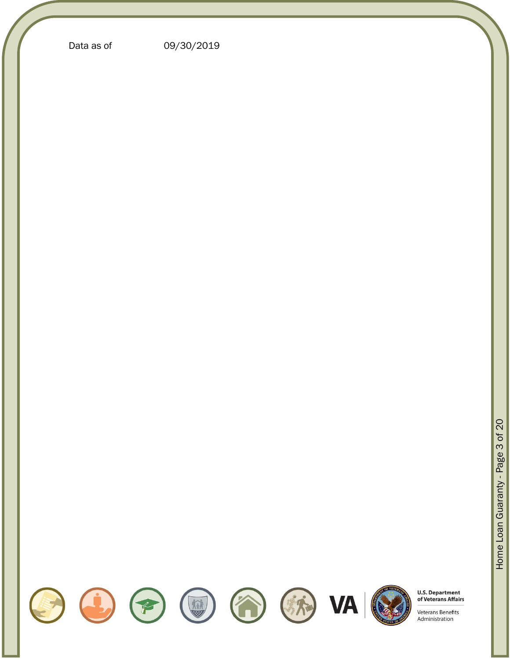Data as of 09/30/201 9















**U.S. Department**<br>of Veterans Affairs



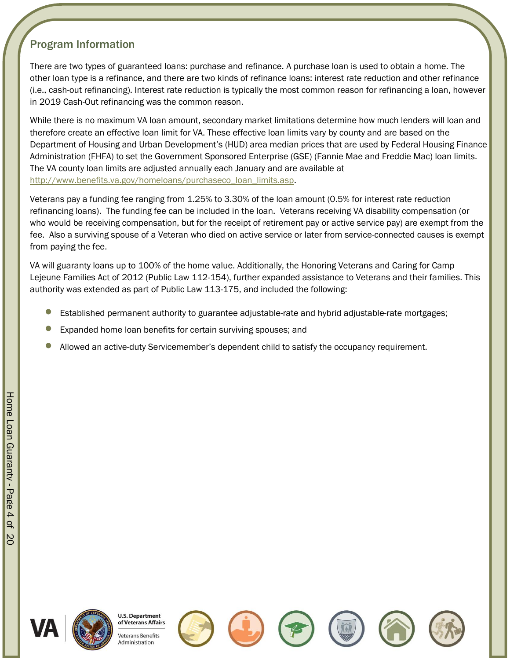# <span id="page-3-0"></span>Program Information

There are two types of guaranteed loans: purchase and refinance. A purchase loan is used to obtain a home. The other loan type is a refinance, and there are two kinds of refinance loans: interest rate reduction and other refinance (i.e., cash-out refinancing). Interest rate reduction is typically the most common reason for refinancing a loan, however in 2019 Cash-Out refinancing was the common reason.

While there is no maximum VA loan amount, secondary market limitations determine how much lenders will loan and therefore create an effective loan limit for VA. These effective loan limits vary by county and are based on the Department of Housing and Urban Development's (HUD) area median prices that are used by Federal Housing Finance Administration (FHFA) to set the Government Sponsored Enterprise (GSE) (Fannie Mae and Freddie Mac) loan limits. The VA county loan limits are adjusted annually each January and are available at [http://www.benefits.va.gov/homeloans/purchaseco\\_loan\\_limits.asp.](http://www.benefits.va.gov/homeloans/purchaseco_loan_limits.asp)

Veterans pay a funding fee ranging from 1.25% to 3.30% of the loan amount (0.5% for interest rate reduction refinancing loans). The funding fee can be included in the loan. Veterans receiving VA disability compensation (or who would be receiving compensation, but for the receipt of retirement pay or active service pay) are exempt from the fee. Also a surviving spouse of a Veteran who died on active service or later from service-connected causes is exempt from paying the fee.

VA will guaranty loans up to 100% of the home value. Additionally, the Honoring Veterans and Caring for Camp Lejeune Families Act of 2012 (Public Law 112-154), further expanded assistance to Veterans and their families. This authority was extended as part of Public Law 113-175, and included the following:

- Established permanent authority to guarantee adjustable-rate and hybrid adjustable-rate mortgages;
- Expanded home loan benefits for certain surviving spouses; and
- Allowed an active-duty Servicemember's dependent child to satisfy the occupancy requirement.



**U.S. Department** of Veterans Affairs eterans Benefits Administration







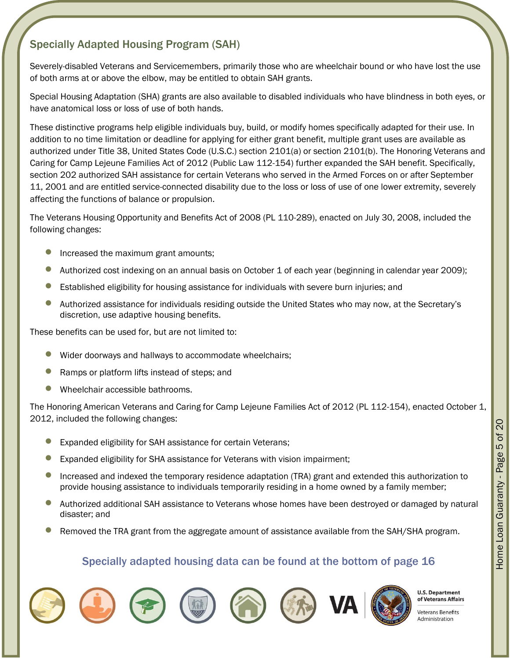# <span id="page-4-0"></span>Specially Adapted Housing Program (SAH)

Severely-disabled Veterans and Servicemembers, primarily those who are wheelchair bound or who have lost the use of both arms at or above the elbow, may be entitled to obtain SAH grants.

Special Housing Adaptation (SHA) grants are also available to disabled individuals who have blindness in both eyes, or have anatomical loss or loss of use of both hands.

These distinctive programs help eligible individuals buy, build, or modify homes specifically adapted for their use. In addition to no time limitation or deadline for applying for either grant benefit, multiple grant uses are available as authorized under Title 38, United States Code (U.S.C.) section 2101(a) or section 2101(b). The Honoring Veterans and Caring for Camp Lejeune Families Act of 2012 (Public Law 112-154) further expanded the SAH benefit. Specifically, section 202 authorized SAH assistance for certain Veterans who served in the Armed Forces on or after September 11, 2001 and are entitled service-connected disability due to the loss or loss of use of one lower extremity, severely affecting the functions of balance or propulsion.

The Veterans Housing Opportunity and Benefits Act of 2008 (PL 110-289), enacted on July 30, 2008, included the following changes:

- Increased the maximum grant amounts;
- Authorized cost indexing on an annual basis on October 1 of each year (beginning in calendar year 2009);
- Established eligibility for housing assistance for individuals with severe burn injuries; and
- Authorized assistance for individuals residing outside the United States who may now, at the Secretary's discretion, use adaptive housing benefits.

These benefits can be used for, but are not limited to:

- Wider doorways and hallways to accommodate wheelchairs;
- Ramps or platform lifts instead of steps; and
- Wheelchair accessible bathrooms.

The Honoring American Veterans and Caring for Camp Lejeune Families Act of 2012 (PL 112-154), enacted October 1, 2012, included the following changes:

- Expanded eligibility for SAH assistance for certain Veterans;
- Expanded eligibility for SHA assistance for Veterans with vision impairment;
- Increased and indexed the temporary residence adaptation (TRA) grant and extended this authorization to provide housing assistance to individuals temporarily residing in a home owned by a family member;
- Authorized additional SAH assistance to Veterans whose homes have been destroyed or damaged by natural disaster; and
- Removed the TRA grant from the aggregate amount of assistance available from the SAH/SHA program.

#### Specially adapted housing data can be found at the bottom of page [16](#page-17-4)















**U.S. Department** of Veterans Affairs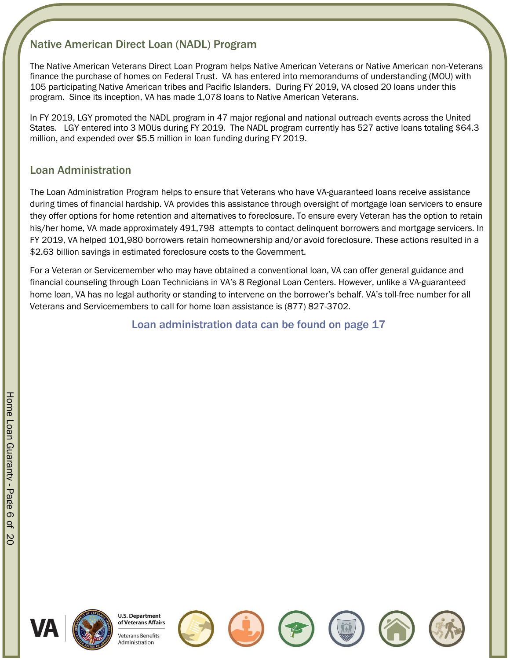# <span id="page-5-0"></span>Native American Direct Loan (NADL) Program

The Native American Veterans Direct Loan Program helps Native American Veterans or Native American non-Veterans finance the purchase of homes on Federal Trust. VA has entered into memorandums of understanding (MOU) with 105 participating Native American tribes and Pacific Islanders. During FY 2019, VA closed 20 loans under this program. Since its inception, VA has made 1,078 loans to Native American Veterans.

In FY 2019, LGY promoted the NADL program in 47 major regional and national outreach events across the United States. LGY entered into 3 MOUs during FY 2019. The NADL program currently has 527 active loans totaling \$64.3 million, and expended over \$5.5 million in loan funding during FY 2019.

### <span id="page-5-1"></span>Loan Administration

The Loan Administration Program helps to ensure that Veterans who have VA-guaranteed loans receive assistance during times of financial hardship. VA provides this assistance through oversight of mortgage loan servicers to ensure they offer options for home retention and alternatives to foreclosure. To ensure every Veteran has the option to retain his/her home, VA made approximately 491,798 attempts to contact delinquent borrowers and mortgage servicers. In FY 2019, VA helped 101,980 borrowers retain homeownership and/or avoid foreclosure. These actions resulted in a \$2.63 billion savings in estimated foreclosure costs to the Government.

For a Veteran or Servicemember who may have obtained a conventional loan, VA can offer general guidance and financial counseling through Loan Technicians in VA's 8 Regional Loan Centers. However, unlike a VA-guaranteed home loan, VA has no legal authority or standing to intervene on the borrower's behalf. VA's toll-free number for all Veterans and Servicemembers to call for home loan assistance is (877) 827-3702.

Loan administration data can be found on page [17](#page-18-0)













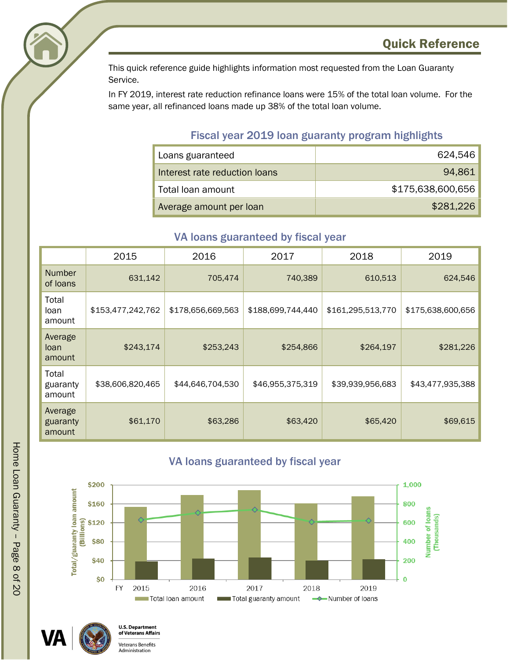<span id="page-7-0"></span>

This quick reference guide highlights information most requested from the Loan Guaranty Service.

In FY 2019, interest rate reduction refinance loans were 15% of the total loan volume. For the same year, all refinanced loans made up 38% of the total loan volume.

## Fiscal year 2019 loan guaranty program highlights

<span id="page-7-1"></span>

| Loans guaranteed              | 624,546           |
|-------------------------------|-------------------|
| Interest rate reduction loans | 94,861            |
| Total loan amount             | \$175,638,600,656 |
| Average amount per loan       | \$281,226         |

## VA loans guaranteed by fiscal year

<span id="page-7-2"></span>

|                               | 2015              | 2016              | 2017              | 2018              | 2019              |
|-------------------------------|-------------------|-------------------|-------------------|-------------------|-------------------|
| <b>Number</b><br>of loans     | 631,142           | 705,474           | 740,389           | 610,513           | 624,546           |
| Total<br>loan<br>amount       | \$153,477,242,762 | \$178,656,669,563 | \$188,699,744,440 | \$161,295,513,770 | \$175,638,600,656 |
| Average<br>loan<br>amount     | \$243,174         | \$253,243         | \$254,866         | \$264,197         | \$281,226         |
| Total<br>guaranty<br>amount   | \$38,606,820,465  | \$44,646,704,530  | \$46,955,375,319  | \$39,939,956,683  | \$43,477,935,388  |
| Average<br>guaranty<br>amount | \$61,170          | \$63,286          | \$63,420          | \$65,420          | \$69,615          |

#### VA loans guaranteed by fiscal year

<span id="page-7-3"></span>



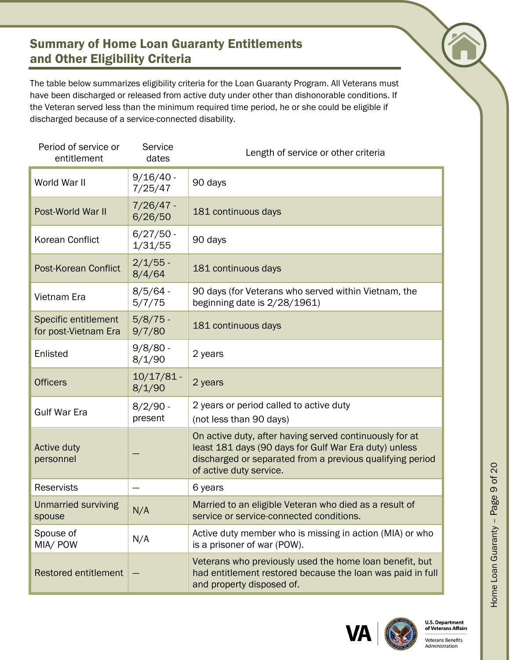# <span id="page-8-0"></span>Summary of Home Loan Guaranty Entitlements and Other Eligibility Criteria

The table below summarizes eligibility criteria for the Loan Guaranty Program. All Veterans must have been discharged or released from active duty under other than dishonorable conditions. If the Veteran served less than the minimum required time period, he or she could be eligible if discharged because of a service-connected disability.

| Period of service or<br>entitlement          | Service<br>dates       | Length of service or other criteria                                                                                                                                                                      |
|----------------------------------------------|------------------------|----------------------------------------------------------------------------------------------------------------------------------------------------------------------------------------------------------|
| World War II                                 | $9/16/40$ -<br>7/25/47 | 90 days                                                                                                                                                                                                  |
| Post-World War II                            | 7/26/47 -<br>6/26/50   | 181 continuous days                                                                                                                                                                                      |
| <b>Korean Conflict</b>                       | $6/27/50 -$<br>1/31/55 | 90 days                                                                                                                                                                                                  |
| Post-Korean Conflict                         | $2/1/55$ -<br>8/4/64   | 181 continuous days                                                                                                                                                                                      |
| Vietnam Era                                  | $8/5/64 -$<br>5/7/75   | 90 days (for Veterans who served within Vietnam, the<br>beginning date is 2/28/1961)                                                                                                                     |
| Specific entitlement<br>for post-Vietnam Era | $5/8/75$ -<br>9/7/80   | 181 continuous days                                                                                                                                                                                      |
| Enlisted                                     | $9/8/80 -$<br>8/1/90   | 2 years                                                                                                                                                                                                  |
| <b>Officers</b>                              | $10/17/81$ -<br>8/1/90 | 2 years                                                                                                                                                                                                  |
| <b>Gulf War Era</b>                          | $8/2/90 -$<br>present  | 2 years or period called to active duty<br>(not less than 90 days)                                                                                                                                       |
| Active duty<br>personnel                     |                        | On active duty, after having served continuously for at<br>least 181 days (90 days for Gulf War Era duty) unless<br>discharged or separated from a previous qualifying period<br>of active duty service. |
| <b>Reservists</b>                            |                        | 6 years                                                                                                                                                                                                  |
| Unmarried surviving<br>spouse                | N/A                    | Married to an eligible Veteran who died as a result of<br>service or service-connected conditions.                                                                                                       |
| Spouse of<br>MIA/ POW                        | N/A                    | Active duty member who is missing in action (MIA) or who<br>is a prisoner of war (POW).                                                                                                                  |
| <b>Restored entitlement</b>                  |                        | Veterans who previously used the home loan benefit, but<br>had entitlement restored because the loan was paid in full<br>and property disposed of.                                                       |





Home Loan Guaranty – Page

9 of 20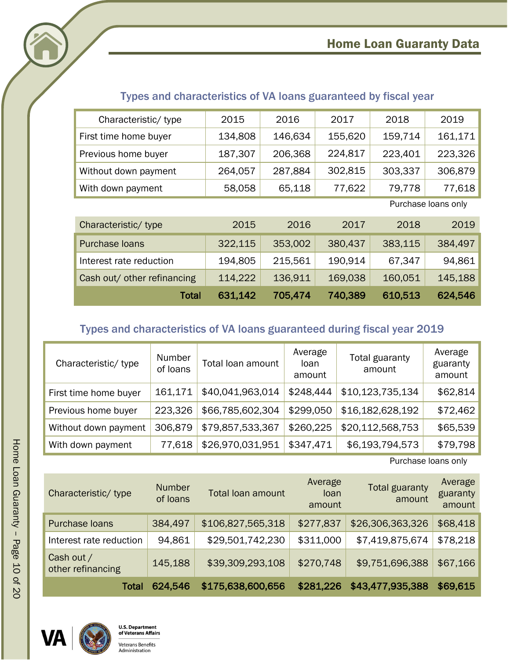# Home Loan Guaranty Data

<span id="page-9-0"></span>

<span id="page-9-1"></span>

| Characteristic/type   | 2015    | 2016         | 2017    | 2018    | 2019                |
|-----------------------|---------|--------------|---------|---------|---------------------|
| First time home buyer | 134,808 | 146,634      | 155,620 | 159,714 | 161,171             |
| Previous home buyer   | 187,307 | 206,368      | 224,817 | 223,401 | 223,326             |
| Without down payment  | 264,057 | 287,884      | 302,815 | 303,337 | 306,879             |
| With down payment     | 58,058  | 65,118       | 77,622  | 79,778  | 77,618              |
|                       |         |              |         |         | Purchase loans only |
| Characterictie/type   | 001E    | $\bigcap$ 16 | 2017    | 2010    | 2010                |

# Types and characteristics of VA loans guaranteed by fiscal year

| Characteristic/type         | 2015    | 2016    | 2017    | 2018    | 2019    |
|-----------------------------|---------|---------|---------|---------|---------|
| Purchase loans              | 322,115 | 353,002 | 380,437 | 383,115 | 384,497 |
| Interest rate reduction     | 194,805 | 215,561 | 190.914 | 67,347  | 94,861  |
| Cash out/ other refinancing | 114,222 | 136,911 | 169,038 | 160,051 | 145,188 |
| Total                       | 631,142 | 705,474 | 740,389 | 610,513 | 624,546 |

# Types and characteristics of VA loans guaranteed during fiscal year 2019

<span id="page-9-2"></span>

| Characteristic/ type  | Number<br>of loans | Total loan amount | Average<br>loan<br>amount | Total guaranty<br>amount | Average<br>guaranty<br>amount |
|-----------------------|--------------------|-------------------|---------------------------|--------------------------|-------------------------------|
| First time home buyer | 161,171            | \$40,041,963,014  | \$248,444                 | \$10,123,735,134         | \$62,814                      |
| Previous home buyer   | 223,326            | \$66,785,602,304  | \$299,050                 | \$16,182,628,192         | \$72,462                      |
| Without down payment  | 306,879            | \$79,857,533,367  | \$260,225                 | \$20,112,568,753         | \$65,539                      |
| With down payment     | 77,618             | \$26,970,031,951  | \$347,471                 | \$6,193,794,573          | \$79,798                      |

Purchase loans only

| Characteristic/ type            | <b>Number</b><br>of loans | Total loan amount | Average<br>loan<br>amount | <b>Total guaranty</b><br>amount | Average<br>guaranty<br>amount |
|---------------------------------|---------------------------|-------------------|---------------------------|---------------------------------|-------------------------------|
| Purchase Ioans                  | 384,497                   | \$106,827,565,318 | \$277,837                 | \$26,306,363,326                | \$68,418                      |
| Interest rate reduction         | 94,861                    | \$29,501,742,230  | \$311,000                 | \$7,419,875,674                 | \$78,218                      |
| Cash out /<br>other refinancing | 145,188                   | \$39,309,293,108  | \$270,748                 | \$9,751,696,388                 | \$67,166                      |
| Total                           | 624,546                   | \$175,638,600,656 | \$281,226                 | \$43,477,935,388                | \$69,615                      |



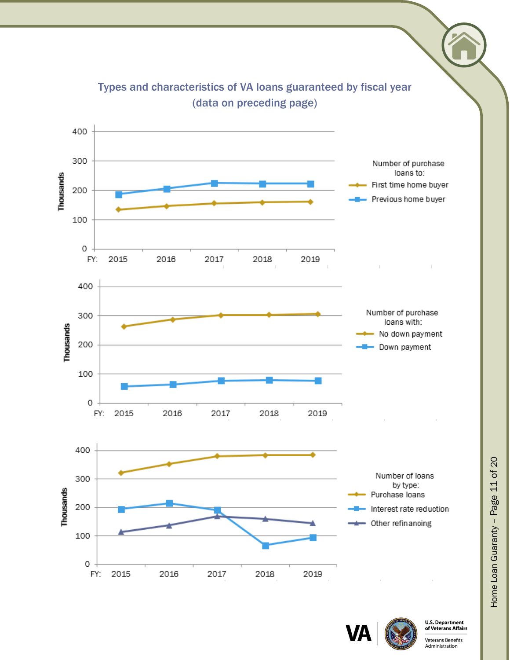<span id="page-10-0"></span>

Types and characteristics of VA loans guaranteed by fiscal year (data on preceding page)



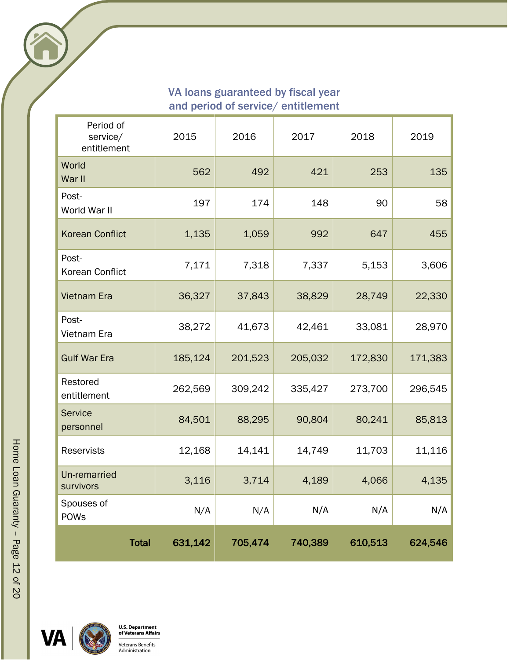#### <span id="page-11-0"></span>VA loans guaranteed by fiscal year and period of service/ entitlement

| Period of<br>service/<br>entitlement | 2015    | 2016    | 2017    | 2018    | 2019    |
|--------------------------------------|---------|---------|---------|---------|---------|
| World<br>War II                      | 562     | 492     | 421     | 253     | 135     |
| Post-<br>World War II                | 197     | 174     | 148     | 90      | 58      |
| <b>Korean Conflict</b>               | 1,135   | 1,059   | 992     | 647     | 455     |
| Post-<br>Korean Conflict             | 7,171   | 7,318   | 7,337   | 5,153   | 3,606   |
| <b>Vietnam Era</b>                   | 36,327  | 37,843  | 38,829  | 28,749  | 22,330  |
| Post-<br>Vietnam Era                 | 38,272  | 41,673  | 42,461  | 33,081  | 28,970  |
| <b>Gulf War Era</b>                  | 185,124 | 201,523 | 205,032 | 172,830 | 171,383 |
| Restored<br>entitlement              | 262,569 | 309,242 | 335,427 | 273,700 | 296,545 |
| <b>Service</b><br>personnel          | 84,501  | 88,295  | 90,804  | 80,241  | 85,813  |
| <b>Reservists</b>                    | 12,168  | 14,141  | 14,749  | 11,703  | 11,116  |
| Un-remarried<br>survivors            | 3,116   | 3,714   | 4,189   | 4,066   | 4,135   |
| Spouses of<br><b>POWs</b>            | N/A     | N/A     | N/A     | N/A     | N/A     |
| <b>Total</b>                         | 631,142 | 705,474 | 740,389 | 610,513 | 624,546 |

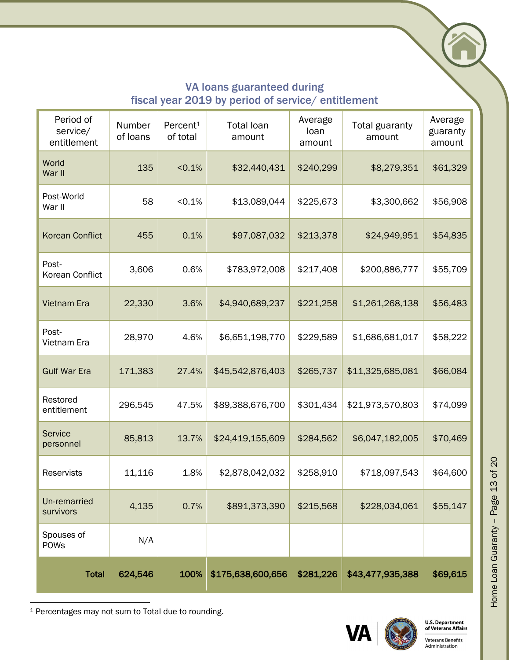# VA loans guaranteed during fiscal year 2019 by period of service/ entitlement

<span id="page-12-0"></span>

| Period of<br>service/<br>entitlement | Number<br>of loans | Percent <sup>1</sup><br>of total | <b>Total loan</b><br>amount | Average<br>loan<br>amount | Total guaranty<br>amount | Average<br>guaranty<br>amount |
|--------------------------------------|--------------------|----------------------------------|-----------------------------|---------------------------|--------------------------|-------------------------------|
| World<br>War II                      | 135                | < 0.1%                           | \$32,440,431                | \$240,299                 | \$8,279,351              | \$61,329                      |
| Post-World<br>War II                 | 58                 | < 0.1%                           | \$13,089,044                | \$225,673                 | \$3,300,662              | \$56,908                      |
| <b>Korean Conflict</b>               | 455                | 0.1%                             | \$97,087,032                | \$213,378                 | \$24,949,951             | \$54,835                      |
| Post-<br>Korean Conflict             | 3,606              | 0.6%                             | \$783,972,008               | \$217,408                 | \$200,886,777            | \$55,709                      |
| <b>Vietnam Era</b>                   | 22,330             | 3.6%                             | \$4,940,689,237             | \$221,258                 | \$1,261,268,138          | \$56,483                      |
| Post-<br>Vietnam Era                 | 28,970             | 4.6%                             | \$6,651,198,770             | \$229,589                 | \$1,686,681,017          | \$58,222                      |
| <b>Gulf War Era</b>                  | 171,383            | 27.4%                            | \$45,542,876,403            | \$265,737                 | \$11,325,685,081         | \$66,084                      |
| Restored<br>entitlement              | 296,545            | 47.5%                            | \$89,388,676,700            | \$301,434                 | \$21,973,570,803         | \$74,099                      |
| <b>Service</b><br>personnel          | 85,813             | 13.7%                            | \$24,419,155,609            | \$284,562                 | \$6,047,182,005          | \$70,469                      |
| Reservists                           | 11,116             | 1.8%                             | \$2,878,042,032             | \$258,910                 | \$718,097,543            | \$64,600                      |
| Un-remarried<br>survivors            | 4,135              | 0.7%                             | \$891,373,390               | \$215,568                 | \$228,034,061            | \$55,147                      |
| Spouses of<br><b>POWs</b>            | N/A                |                                  |                             |                           |                          |                               |
| <b>Total</b>                         | 624,546            | 100%                             | \$175,638,600,656           | \$281,226                 | \$43,477,935,388         | \$69,615                      |

<sup>1</sup> Percentages may not sum to Total due to rounding.





**Veterans Benefits** Administration

Home Loan Guaranty - Page 13 of 20 Home Loan Guaranty – Page 13 of 20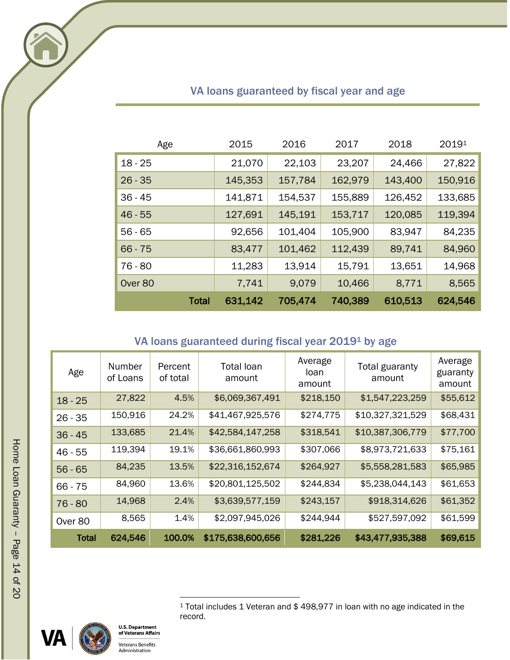<span id="page-13-0"></span>

| Age       | 2015    | 2016    | 2017    | 2018    | 20191   |
|-----------|---------|---------|---------|---------|---------|
| $18 - 25$ | 21,070  | 22,103  | 23,207  | 24,466  | 27,822  |
| $26 - 35$ | 145,353 | 157,784 | 162,979 | 143,400 | 150,916 |
| $36 - 45$ | 141,871 | 154,537 | 155,889 | 126,452 | 133,685 |
| $46 - 55$ | 127,691 | 145,191 | 153,717 | 120,085 | 119,394 |
| $56 - 65$ | 92,656  | 101,404 | 105,900 | 83,947  | 84,235  |
| $66 - 75$ | 83,477  | 101,462 | 112,439 | 89,741  | 84,960  |
| $76 - 80$ | 11,283  | 13,914  | 15,791  | 13,651  | 14,968  |
| Over 80   | 7,741   | 9,079   | 10,466  | 8,771   | 8,565   |
| Total     | 631,142 | 705,474 | 740,389 | 610,513 | 624,546 |

# <span id="page-13-2"></span>VA loans guaranteed by fiscal year and age

# VA loans guaranteed during fiscal year 2019[1](#page-13-2) by age

<span id="page-13-1"></span>

| Age          | Number<br>of Loans | Percent<br>of total | <b>Total loan</b><br>amount | Average<br>loan<br>amount | Total guaranty<br>amount | Average<br>guaranty<br>amount |
|--------------|--------------------|---------------------|-----------------------------|---------------------------|--------------------------|-------------------------------|
| $18 - 25$    | 27,822             | 4.5%                | \$6,069,367,491             | \$218,150                 | \$1,547,223,259          | \$55,612                      |
| $26 - 35$    | 150,916            | 24.2%               | \$41,467,925,576            | \$274,775                 | \$10,327,321,529         | \$68,431                      |
| $36 - 45$    | 133,685            | 21.4%               | \$42,584,147,258            | \$318,541                 | \$10,387,306,779         | \$77,700                      |
| $46 - 55$    | 119,394            | 19.1%               | \$36,661,860,993            | \$307,066                 | \$8,973,721,633          | \$75,161                      |
| $56 - 65$    | 84,235             | 13.5%               | \$22,316,152,674            | \$264,927                 | \$5,558,281,583          | \$65,985                      |
| $66 - 75$    | 84,960             | 13.6%               | \$20,801,125,502            | \$244,834                 | \$5,238,044,143          | \$61,653                      |
| $76 - 80$    | 14,968             | 2.4%                | \$3,639,577,159             | \$243,157                 | \$918,314,626            | \$61,352                      |
| Over 80      | 8,565              | 1.4%                | \$2,097,945,026             | \$244,944                 | \$527,597,092            | \$61,599                      |
| <b>Total</b> | 624,546            | 100.0%              | \$175,638,600,656           | \$281,226                 | \$43,477,935,388         | \$69,615                      |





<sup>1</sup> Total includes 1 Veteran and \$ 498,977 in loan with no age indicated in the record.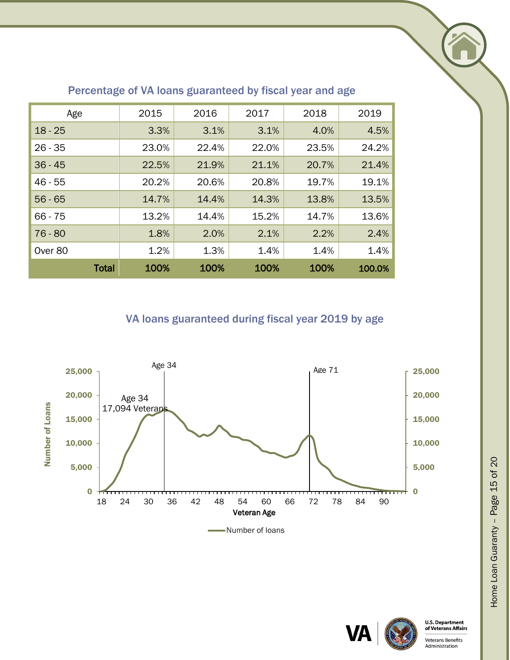<span id="page-14-0"></span>

| Age          | 2015  | 2016  | 2017  | 2018  | 2019   |
|--------------|-------|-------|-------|-------|--------|
| $18 - 25$    | 3.3%  | 3.1%  | 3.1%  | 4.0%  | 4.5%   |
| $26 - 35$    | 23.0% | 22.4% | 22.0% | 23.5% | 24.2%  |
| $36 - 45$    | 22.5% | 21.9% | 21.1% | 20.7% | 21.4%  |
| $46 - 55$    | 20.2% | 20.6% | 20.8% | 19.7% | 19.1%  |
| $56 - 65$    | 14.7% | 14.4% | 14.3% | 13.8% | 13.5%  |
| $66 - 75$    | 13.2% | 14.4% | 15.2% | 14.7% | 13.6%  |
| $76 - 80$    | 1.8%  | 2.0%  | 2.1%  | 2.2%  | 2.4%   |
| Over 80      | 1.2%  | 1.3%  | 1.4%  | 1.4%  | 1.4%   |
| <b>Total</b> | 100%  | 100%  | 100%  | 100%  | 100.0% |

## Percentage of VA loans guaranteed by fiscal year and age

VA loans guaranteed during fiscal year 2019 by age

<span id="page-14-1"></span>



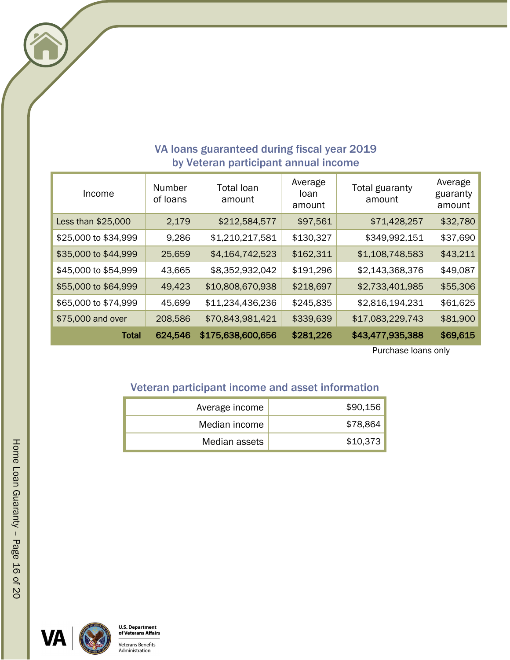<span id="page-15-0"></span>

| Income               | Number<br>of loans | Total loan<br>amount | Average<br>loan<br>amount | Total guaranty<br>amount | Average<br>guaranty<br>amount |
|----------------------|--------------------|----------------------|---------------------------|--------------------------|-------------------------------|
| Less than \$25,000   | 2,179              | \$212,584,577        | \$97,561                  | \$71,428,257             | \$32,780                      |
| \$25,000 to \$34,999 | 9,286              | \$1,210,217,581      | \$130,327                 | \$349,992,151            | \$37,690                      |
| \$35,000 to \$44,999 | 25,659             | \$4,164,742,523      | \$162,311                 | \$1,108,748,583          | \$43,211                      |
| \$45,000 to \$54,999 | 43,665             | \$8,352,932,042      | \$191,296                 | \$2,143,368,376          | \$49,087                      |
| \$55,000 to \$64,999 | 49,423             | \$10,808,670,938     | \$218,697                 | \$2,733,401,985          | \$55,306                      |
| \$65,000 to \$74,999 | 45,699             | \$11,234,436,236     | \$245,835                 | \$2,816,194,231          | \$61,625                      |
| \$75,000 and over    | 208,586            | \$70,843,981,421     | \$339,639                 | \$17,083,229,743         | \$81,900                      |
| Total                | 624,546            | \$175,638,600,656    | \$281,226                 | \$43,477,935,388         | \$69,615                      |

# VA loans guaranteed during fiscal year 2019 by Veteran participant annual income

Purchase loans only

# <span id="page-15-1"></span>Veteran participant income and asset information

| Average income | \$90,156 |
|----------------|----------|
| Median income  | \$78,864 |
| Median assets  | \$10,373 |



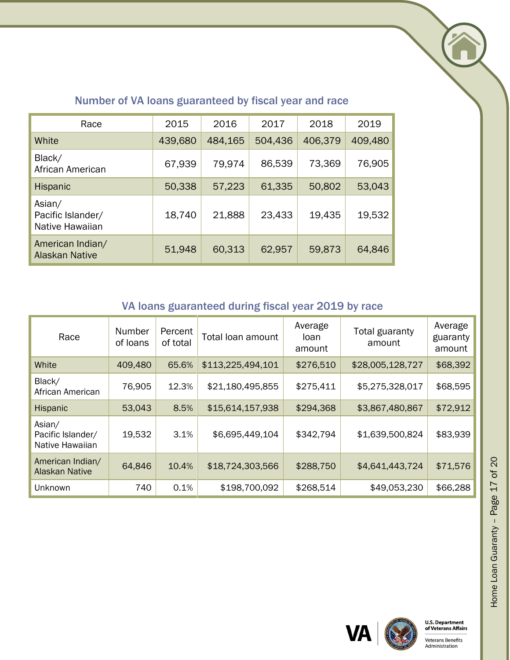

<span id="page-16-0"></span>

| Race                                           | 2015    | 2016    | 2017    | 2018    | 2019    |
|------------------------------------------------|---------|---------|---------|---------|---------|
| White                                          | 439,680 | 484,165 | 504,436 | 406,379 | 409,480 |
| Black/<br>African American                     | 67,939  | 79,974  | 86,539  | 73,369  | 76,905  |
| <b>Hispanic</b>                                | 50,338  | 57,223  | 61,335  | 50,802  | 53,043  |
| Asian/<br>Pacific Islander/<br>Native Hawaiian | 18,740  | 21,888  | 23,433  | 19,435  | 19,532  |
| American Indian/<br><b>Alaskan Native</b>      | 51,948  | 60,313  | 62,957  | 59,873  | 64,846  |

# Number of VA loans guaranteed by fiscal year and race

# VA loans guaranteed during fiscal year 2019 by race

<span id="page-16-1"></span>

| Race                                           | Number<br>of loans | Percent<br>of total | Total loan amount | Average<br>loan<br>amount | Total guaranty<br>amount | Average<br>guaranty<br>amount |
|------------------------------------------------|--------------------|---------------------|-------------------|---------------------------|--------------------------|-------------------------------|
| White                                          | 409,480            | 65.6%               | \$113,225,494,101 | \$276,510                 | \$28,005,128,727         | \$68,392                      |
| Black/<br>African American                     | 76,905             | 12.3%               | \$21,180,495,855  | \$275,411                 | \$5,275,328,017          | \$68,595                      |
| Hispanic                                       | 53,043             | 8.5%                | \$15,614,157,938  | \$294,368                 | \$3,867,480,867          | \$72,912                      |
| Asian/<br>Pacific Islander/<br>Native Hawaiian | 19,532             | 3.1%                | \$6,695,449,104   | \$342,794                 | \$1,639,500,824          | \$83,939                      |
| American Indian/<br><b>Alaskan Native</b>      | 64,846             | 10.4%               | \$18,724,303,566  | \$288,750                 | \$4,641,443,724          | \$71,576                      |
| Unknown                                        | 740                | 0.1%                | \$198,700,092     | \$268,514                 | \$49,053,230             | \$66,288                      |



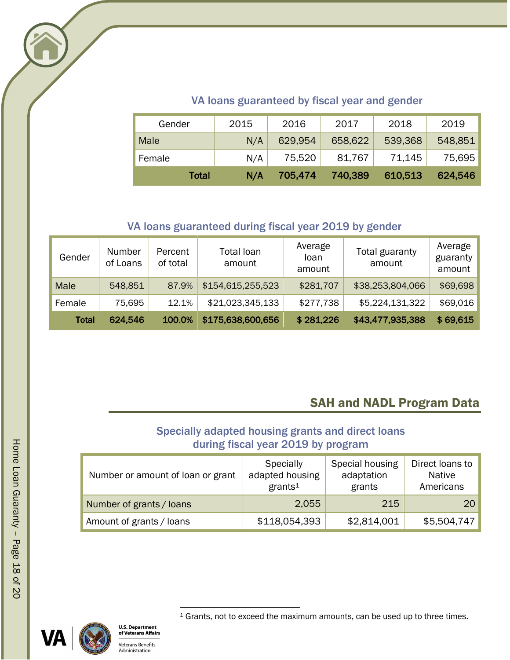

# VA loans guaranteed by fiscal year and gender

<span id="page-17-0"></span>

| Gender       | 2015 | 2016    | 2017    | 2018    | 2019    |
|--------------|------|---------|---------|---------|---------|
| Male         | N/A  | 629,954 | 658,622 | 539,368 | 548,851 |
| Female       | N/A  | 75,520  | 81,767  | 71,145  | 75,695  |
| <b>Total</b> | N/A  | 705,474 | 740,389 | 610,513 | 624,546 |

## VA loans guaranteed during fiscal year 2019 by gender

<span id="page-17-1"></span>

| Gender       | Number<br>of Loans | Percent<br>of total | Total loan<br>amount | Average<br>loan<br>amount | Total guaranty<br>amount | Average<br>guaranty<br>amount |
|--------------|--------------------|---------------------|----------------------|---------------------------|--------------------------|-------------------------------|
| Male         | 548,851            | 87.9%               | \$154,615,255,523    | \$281,707                 | \$38,253,804,066         | \$69,698                      |
| Female       | 75,695             | 12.1%               | \$21,023,345,133     | \$277,738                 | \$5,224,131,322          | \$69,016                      |
| <b>Total</b> | 624,546            | 100.0%              | \$175,638,600,656    | \$281,226                 | \$43,477,935,388         | \$69,615                      |

# SAH and NADL Program Data

# Specially adapted housing grants and direct loans during fiscal year 2019 by program

<span id="page-17-4"></span><span id="page-17-3"></span><span id="page-17-2"></span>

| Number or amount of loan or grant | Specially<br>adapted housing<br>grants <sup>1</sup> | Special housing<br>adaptation<br>grants | Direct loans to<br><b>Native</b><br>Americans |
|-----------------------------------|-----------------------------------------------------|-----------------------------------------|-----------------------------------------------|
| Number of grants / loans          | 2,055                                               | 215                                     | <b>20</b>                                     |
| Amount of grants / loans          | \$118,054,393                                       | \$2,814,001                             | \$5,504,747                                   |





<sup>1</sup> Grants, not to exceed the maximum amounts, can be used up to three times.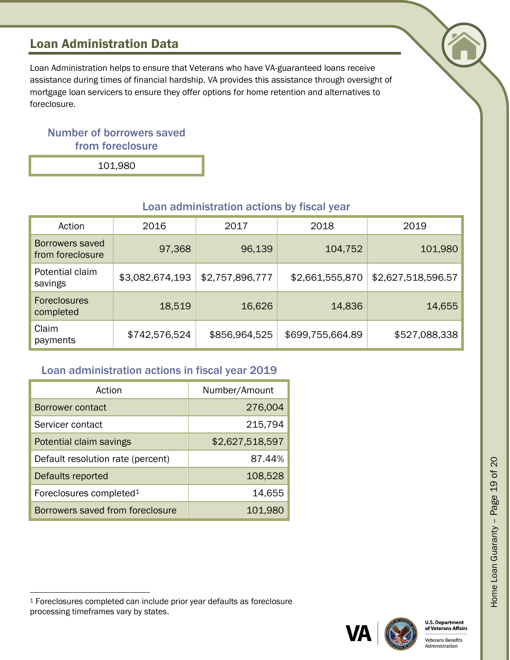# <span id="page-18-0"></span>Loan Administration Data

Loan Administration helps to ensure that Veterans who have VA-guaranteed loans receive assistance during times of financial hardship. VA provides this assistance through oversight of mortgage loan servicers to ensure they offer options for home retention and alternatives to foreclosure.

# <span id="page-18-1"></span>Number of borrowers saved from foreclosure

101,980

<span id="page-18-2"></span>

| Action                              | 2016            | 2017            | 2018             | 2019               |
|-------------------------------------|-----------------|-----------------|------------------|--------------------|
| Borrowers saved<br>from foreclosure | 97,368          | 96,139          | 104,752          | 101,980            |
| Potential claim<br>savings          | \$3,082,674,193 | \$2,757,896,777 | \$2,661,555,870  | \$2,627,518,596.57 |
| <b>Foreclosures</b><br>completed    | 18,519          | 16,626          | 14,836           | 14,655             |
| Claim<br>payments                   | \$742,576,524   | \$856,964,525   | \$699,755,664.89 | \$527,088,338      |

#### Loan administration actions by fiscal year

#### <span id="page-18-3"></span>Loan administration actions in fiscal year 2019

| Action                              | Number/Amount   |  |
|-------------------------------------|-----------------|--|
| Borrower contact                    | 276,004         |  |
| Servicer contact                    | 215,794         |  |
| Potential claim savings             | \$2,627,518,597 |  |
| Default resolution rate (percent)   | 87.44%          |  |
| Defaults reported                   | 108,528         |  |
| Foreclosures completed <sup>1</sup> | 14,655          |  |
| Borrowers saved from foreclosure    | 101,980         |  |

<sup>1</sup> Foreclosures completed can include prior year defaults as foreclosure processing timeframes vary by states.